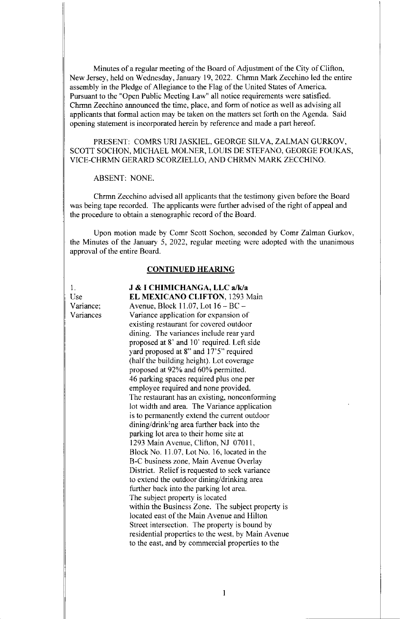Minutes of a regular meeting of the Board of Adjustment of the City of Clifton, New Jersey, held on Wednesday, January 19, 2022. Chrmn Mark Zecchino led the entire assembly in the Pledge of Allegiance to the Flag of the United States of America. Pursuant to the "Open Public Meeting Law" all notice requirements were satisfied. Chrmn Zecchino announced the time, place, and form of notice as well as advising all applicants that formal action may be taken on the matters set forth on the Agenda. Said opening statement is incorporated herein by reference and made a part hereof

PRESENT: COMRS URI JASKIEL, GEORGE SILVA, ZALMAN GURKOV, SCOTT SOCHON, MICHAEL MOLNER, LOUIS DE STEFANO, GEORGE FOUKAS, VICE-CHRMN GERARD SCORZIELLO, AND CHRMN MARK ZECCHINO.

ABSENT: NONE.

Chrmn Zecchino advised all applicants that the testimony given before the Board was being tape recorded. The applicants were further advised of the right of appeal and the procedure to obtain a stenographic record of the Board.

Upon motion made by Comr Scott Sochon, seconded by Comr Zalman Gurkov, the Minutes of the January 5, 2022, regular meeting were adopted with the unanimous approval of the entire Board.

## CONTINUED HEARING

1. J & I CHIMICHANGA, LLC a/k/a

Use **EL MEXICANO CLIFTON**, 1293 Main Variance; Avenue, Block 11.07, Lot 16 – BC – Variances Variance application for expansion of existing restaurant for covered outdoor dining. The variances include rear yard proposed at 8' and 10' required. Left side yard proposed at 8" and 17'5" required (half the building height). Lot coverage proposed at 92% and 60% permitted. 46 parking spaces required plus one per employee required and none provided. The restaurant has an existing, nonconforming lot width and area. The Variance application is to permanently extend the current outdoor dining/drinking area further back into the parking lot area to their home site at 1293 Main Avenue, Clifton, NJ 07011, Block No. 11.07, Lot No. 16, located in the B-C business zone, Main Avenue Overlay District. Relief is requested to seek variance to extend the outdoor dining/drinking area further back into the parking lot area. The subject property is located within the Business Zone. The subject property is located east of the Main Avenue and Hilton Street intersection. The property is bound by residential properties to the west, by Main Avenue to the east, and by commercial properties to the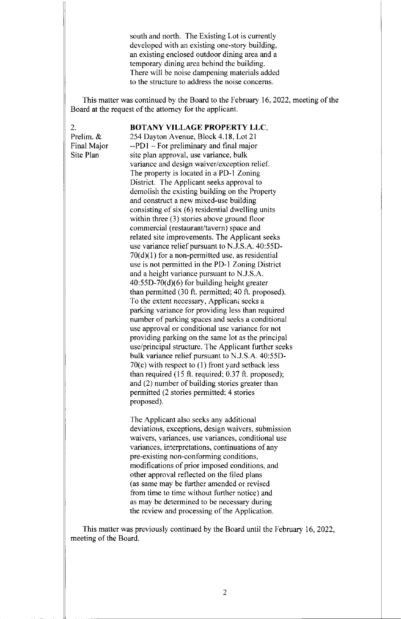south and north. The Existing Lot is currently developed with an existing one-story building, an existing enclosed outdoor dining area and a temporary dining area behind the building. There will be noise dampening materials added to the structure to address the noise concerns.

This matter was continued by the Board to the February 16, 2022, meeting of the Board at the request of the attorney for the applicant.

# 2. **BOTANY VILLAGE PROPERTY LLC,**

Prelim. & 254 Dayton Avenue, Block 4.18, Lot 21 Final Major  $-$ -PD1 – For preliminary and final major Site Plan site plan approval, use variance, bulk variance and design waiver/exception relief. The property is located in a PD-1 Zoning District. The Applicant seeks approval to demolish the existing building on the Property and construct a new mixed-use building consisting of six (6) residential dwelling units within three (3) stories above ground floor commercial (restaurant/tavern) space and related site improvements. The Applicant seeks use variance relief pursuant to N.J.S.A. 40:55D-70(d)(1) for a non-permitted use, as residential use is not permitted in the PD-1 Zoning District and a height variance pursuant to N.J.S.A. 40:55D-70(d)(6) for building height greater than permitted (30 ft. permitted; 40 ft. proposed). To the extent necessary, Applicant seeks a parking variance for providing less than required number of parking spaces and seeks a conditional use approval or conditional use variance for not providing parking on the same lot as the principal use/principal structure. The Applicant further seeks bulk variance relief pursuant to N.J.S.A. 40:55D-70(c) with respect to (1) front yard setback less than required (15 ft. required; 0.37 ft. proposed); and (2) number of building stories greater than permitted (2 stories permitted; 4 stories proposed).

> The Applicant also seeks any additional deviations, exceptions, design waivers, submission waivers, variances, use variances, conditional use variances, interpretations, continuations of any pre-existing non-conforming conditions, modifications of prior imposed conditions, and other approval reflected on the filed plans (as same may be further amended or revised from time to time without further notice) and as may be determined to be necessary during the review and processing of the Application.

This matter was previously continued by the Board until the February 16, 2022, meeting of the Board.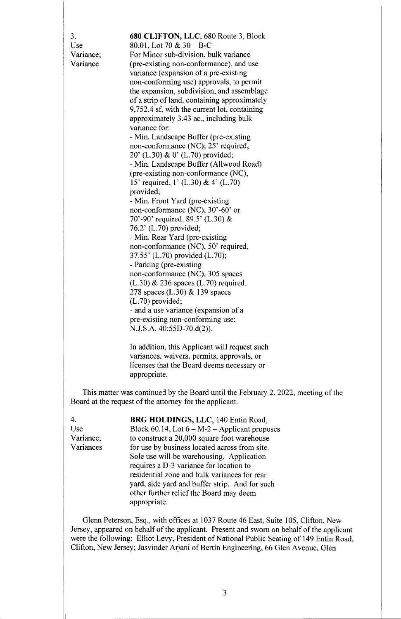| 3.                    | 680 CLIFTON, LLC, 680 Route 3, Block                                                                                      |
|-----------------------|---------------------------------------------------------------------------------------------------------------------------|
| Use                   | 80.01, Lot 70 & $30 - B-C$                                                                                                |
| Variance;<br>Variance | For Minor sub-division, bulk variance<br>(pre-existing non-conformance), and use<br>variance (expansion of a pre-existing |
|                       | non-conforming use) approvals, to permit<br>the expansion, subdivision, and assemblage                                    |
|                       | of a strip of land, containing approximately                                                                              |
|                       | 9,752.4 sf, with the current lot, containing<br>approximately 3.43 ac., including bulk                                    |
|                       | variance for:                                                                                                             |
|                       | - Min. Landscape Buffer (pre-existing                                                                                     |
|                       | non-conformance (NC); 25' required,                                                                                       |
|                       | 20' (L.30) & 0' (L.70) provided;                                                                                          |
|                       | - Min. Landscape Buffer (Allwood Road)                                                                                    |
|                       | (pre-existing non-conformance (NC),                                                                                       |
|                       | 15' required, 1' (L.30) & 4' (L.70)                                                                                       |
|                       | provided;                                                                                                                 |
|                       | - Min. Front Yard (pre-existing                                                                                           |
|                       | non-conformance (NC), 30'-60' or                                                                                          |
|                       | 70'-90' required, 89.5' (L.30) &                                                                                          |
|                       | 76.2' (L.70) provided;                                                                                                    |
|                       | - Min. Rear Yard (pre-existing                                                                                            |
|                       | non-conformance (NC), 50' required,                                                                                       |
|                       | 37.55' (L.70) provided (L.70);                                                                                            |
|                       | - Parking (pre-existing)                                                                                                  |
|                       | non-conformance (NC), 305 spaces                                                                                          |
|                       | $(L.30)$ & 236 spaces $(L.70)$ required,                                                                                  |
|                       | 278 spaces $(L.30)$ & 139 spaces                                                                                          |
|                       | $(L.70)$ provided;<br>- and a use variance (expansion of a                                                                |
|                       | pre-existing non-conforming use;                                                                                          |
|                       | $N.J.S.A. 40:55D-70.d(2)$ .                                                                                               |
|                       | In addition, this Applicant will request such                                                                             |

variances, waivers, permits, approvals, or licenses that the Board deems necessary or appropriate.

This matter was continued by the Board until the February 2, 2022, meeting of the Board at the request of the attorney for the applicant.

4. BRG HOLDINGS, LLC, 140 Entin Road, Use Block  $60.14$ , Lot  $6 - M-2$  – Applicant proposes Variance; to construct a 20,000 square foot warehouse Variances for use by business located across from site. Sole use will be warehousing. Application requires a D-3 variance for location to residential zone and bulk variances for rear yard, side yard and buffer strip. And for such other further relief the Board may deem appropriate.

Glenn Peterson, Esq., with offices at 1037 Route 46 East, Suite 105, Clifton, New Jersey, appeared on behalf of the applicant. Present and sworn on behalf of the applicant were the following: Elliot Levy, President of National Public Seating of 149 Entin Road, Clifton, New Jersey; Jasvinder Arjani of Bertin Engineering, 66 Glen Avenue, Glen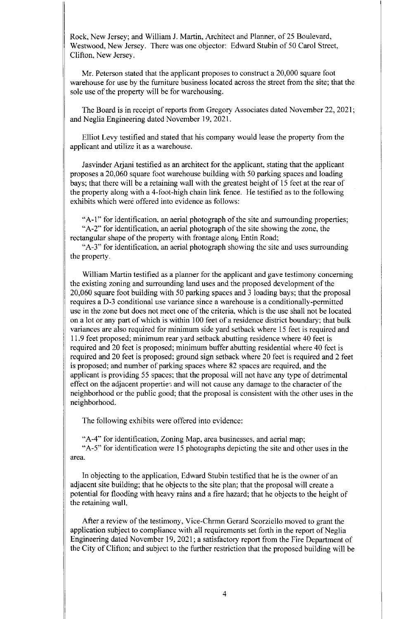Rock, New Jersey; and William J. Martin, Architect and Planner, of 25 Boulevard, Westwood, New Jersey. There was one objector: Edward Stubin of 50 Carol Street, Clifton, New Jersey.

Mr. Peterson stated that the applicant proposes to construct a 20,000 square foot warehouse for use by the furniture business located across the street from the site; that the sole use of the property will be for warehousing.

The Board is in receipt of reports from Gregory Associates dated November 22, 2021; and Neglia Engineering dated November 19, 2021.

Elliot Levy testified and stated that his company would lease the property from the applicant and utilize it as a warehouse.

Jasvinder Arjani testified as an architect for the applicant, stating that the applicant proposes a 20,060 square foot warehouse building with 50 parking spaces and loading bays; that there will be a retaining wall with the greatest height of 15 feet at the rear of the property along with a 4-foot-high chain link fence. He testified as to the following exhibits which were offered into evidence as follows:

"A-I" for identification, an aerial photograph of the site and surrounding properties; "A-2" for identification, an aerial photograph of the site showing the zone, the rectangular shape of the property with frontage along Entin Road;

"A-3" for identification, an aerial photograph showing the site and uses surrounding the property.

William Martin testified as a planner for the applicant and gave testimony concerning the existing zoning and surrounding land uses and the proposed development of the 20,060 square foot building with 50 parking spaces and 3 loading bays; that the proposal requires a D-3 conditional use variance since a warehouse is a conditionally-permitted use in the zone but does not meet one of the criteria, which is the use shall not be located on a lot or any part of which is within 100 feet of a residence district boundary; that bulk variances are also required for minimum side yard setback where 15 feet is required and 11.9 feet proposed; minimum rear yard setback abutting residence where 40 feet is required and 20 feet is proposed; minimum buffer abutting residential where 40 feet is required and 20 feet is proposed; ground sign setback where 20 feet is required and 2 feet is proposed; and number of parking spaces where 82 spaces are required, and the applicant is providing 55 spaces; that the proposal will not have any type of detrimental effect on the adjacent properties and will not cause any damage to the character of the neighborhood or the public good; that the proposal is consistent with the other uses in the neighborhood.

The following exhibits were offered into evidence:

"A-4" for identification, Zoning Map, area businesses, and aerial map; "A-5" for identification were 15 photographs depicting the site and other uses in the area.

In objecting to the application, Edward Stubin testified that he is the owner of an adjacent site building; that he objects to the site plan; that the proposal will create a potential for flooding with heavy rains and a fire hazard; that he objects to the height of the retaining wall.

After a review of the testimony, Vice-Chrmn Gerard Scorziello moved to grant the application subject to compliance with all requirements set forth in the report of Neglia Engineering dated November 19,2021; a satisfactory report from the Fire Department of the City of Clifton; and subject to the further restriction that the proposed building will be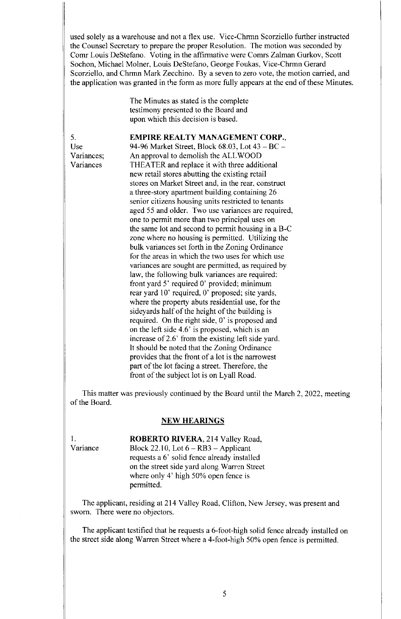used solely as a warehouse and not a flex use. Vice-Chrmn Scorziello further instructed the Counsel Secretary to prepare the proper Resolution. The motion was seconded by Comr Louis DeStefano. Voting in the affirmative were Comrs Zalman Gurkov, Scott Sochon, Michael Molner, Louis DeStefano, George Foukas, Vice-Chrmn Gerard Scorziello, and Chrmn Mark Zecchino. By a seven to zero vote, the motion carried, and the application was granted in the form as more fully appears at the end of these Minutes.

> The Minutes as stated is the complete testimony presented to the Board and upon which this decision is based.

5. EMPIRE REALTY MANAGEMENT CORP.,

Use 94-96 Market Street, Block 68.03, Lot 43 —BC — Variances; An approval to demolish the ALL WOOD Variances THEATER and replace it with three additional new retail stores abutting the existing retail stores on Market Street and, in the rear, construct a three-story apartment building containing 26 senior citizens housing units restricted to tenants aged 55 and older. Two use variances are required, one to permit more than two principal uses on the same lot and second to permit housing in a B-C zone where no housing is permitted. Utilizing the bulk variances set forth in the Zoning Ordinance for the areas in which the two uses for which use variances are sought are permitted, as required by law, the following bulk variances are required: front yard 5' required 0' provided; minimum rear yard 10' required, 0' proposed; site yards, where the property abuts residential use, for the sideyards half of the height of the building is required. On the right side, 0' is proposed and on the left side 4.6' is proposed, which is an increase of 2.6' from the existing left side yard. It should be noted that the Zoning Ordinance provides that the front of a lot is the narrowest part of the lot facing a street. Therefore, the front of the subject lot is on Lyall Road.

This matter was previously continued by the Board until the March 2, 2022, meeting of the Board.

#### NEW HEARINGS

1. **ROBERTO RIVERA**, 214 Valley Road,<br>Variance Block 22.10. Lot 6 – RB3 – Applicant Block 22.10, Lot  $6 - RB3 - Applicant$ requests a 6' solid fence already installed on the street side yard along Warren Street where only 4' high 50% open fence is permitted.

The applicant, residing at 214 Valley Road, Clifton, New Jersey, was present and sworn. There were no objectors.

The applicant testified that he requests a 6-foot-high solid fence already installed on the street side along Warren Street where a 4-foot-high 50% open fence is permitted.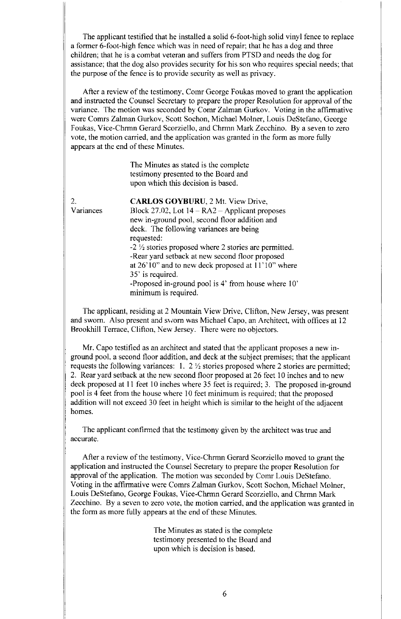The applicant testified that he installed a solid 6-foot-high solid vinyl fence to replace a former 6-foot-high fence which was in need of repair; that he has a dog and three children; that he is a combat veteran and suffers from PTSD and needs the dog for assistance; that the dog also provides security for his son who requires special needs; that the purpose of the fence is to provide security as well as privacy.

After a review of the testimony, Comr George Foukas moved to grant the application and instructed the Counsel Secretary to prepare the proper Resolution for approval of the variance. The motion was seconded by Comr Zalman Gurkov. Voting in the affirmative were Comrs Zalman Gurkov, Scott Sochon, Michael Molner, Louis DeStefano, George Foukas, Vice-Chrmn Gerard Scorziello, and Chrmn Mark Zecchino. By a seven to zero vote, the motion carried, and the application was granted in the form as more fully appears at the end of these Minutes.

> The Minutes as stated is the complete testimony presented to the Board and upon which this decision is based.

2. CARLOS GOYBURU, 2 Mt. View Drive, Variances Block 27.02, Lot  $14 - RA2 -$  Applicant proposes new in-ground pool, second floor addition and deck. The following variances are being requested:  $-2\frac{1}{2}$  stories proposed where 2 stories are permitted. -Rear yard setback at new second floor proposed at 26' 10" and to new deck proposed at 11' 10" where 35' is required. -Proposed in-ground pool is 4' from house where 10' minimum is required.

The applicant, residing at 2 Mountain View Drive, Clifton, New Jersey, was present and sworn. Also present and sworn was Michael Capo, an Architect, with offices at 12 Brookhill Terrace, Clifton, New Jersey. There were no objectors.

Mr. Capo testified as an architect and stated that the applicant proposes a new inground pool, a second floor addition, and deck at the subject premises; that the applicant requests the following variances: 1. 2  $\frac{1}{2}$  stories proposed where 2 stories are permitted; 2. Rear yard setback at the new second floor proposed at 26 feet 10 inches and to new deck proposed at 11 feet 10 inches where 35 feet is required; 3. The proposed in-ground pool is 4 feet from the house where 10 feet minimum is required; that the proposed addition will not exceed 30 feet in height which is similar to the height of the adjacent homes.

The applicant confirmed that the testimony given by the architect was true and accurate.

After a review of the testimony, Vice-Chrmn Gerard Scorziello moved to grant the application and instructed the Counsel Secretary to prepare the proper Resolution for approval of the application. The motion was seconded by Comr Louis DeStefano. Voting in the affirmative were Comrs Zalman Gurkov, Scott Sochon, Michael Molner, Louis DeStefano, George Foukas, Vice-Chrmn Gerard Scorziello, and Chrmn Mark Zecchino. By a seven to zero vote, the motion carried, and the application was granted in the form as more fully appears at the end of these Minutes.

> The Minutes as stated is the complete testimony presented to the Board and upon which is decision is based.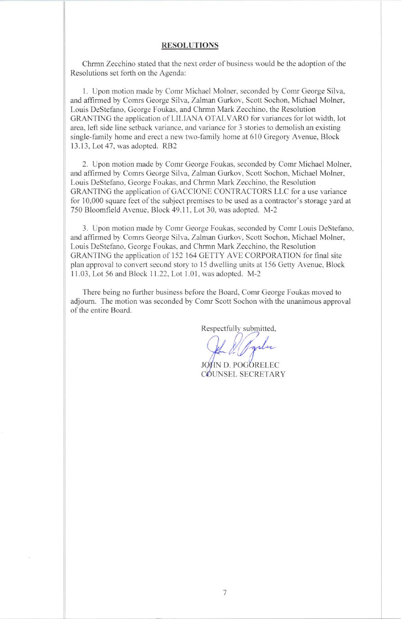#### RESOLUTIONS

Chrmn Zecchino stated that the next order of business would be the adoption of the Resolutions set forth on the Agenda:

1. Upon motion made by Comr Michael Molner, seconded by Comr George Silva, and affirmed by Comrs George Silva, Zalman Gurkov, Scott Sochon, Michael Molner, Louis DeStefano, George Foukas, and Chrmn Mark Zecchino, the Resolution GRANTING the application of LILIANA OTALVARO for variances for lot width, lot area, left side line setback variance, and variance for 3 stories to demolish an existing single-family home and erect a new two-family home at 610 Gregory Avenue, Block 13.13, Lot 47, was adopted. RB2

2. Upon motion made by Comr George Foukas, seconded by Comr Michael Molner, and affirmed by Comrs George Silva, Zalman Gurkov, Scott Sochon, Michael Molner, Louis DeStefano, George Foukas, and Chrmn Mark Zecchino, the Resolution GRANTING the application of GACCIONE CONTRACTORS LLC for a use variance for 10,000 square feet of the subject premises to be used as a contractor's storage yard at 750 Bloomfield Avenue, Block 49.11, Lot 30, was adopted. M-2

3. Upon motion made by Comr George Foukas, seconded by Comr Louis DeStefano, and affirmed by Comrs George Silva, Zalman Gurkov, Scott Sochon, Michael Molner, Louis DeStefano, George Foukas, and Chrmn Mark Zecchino, the Resolution GRANTING the application of 152 164 GETTY AVE CORPORATION for final site plan approval to convert second story to 15 dwelling units at 156 Getty Avenue, Block 11.03, Lot 56 and Block 11.22, Lot 1.01, was adopted. M-2

There being no further business before the Board, Comr George Foukas moved to adjourn. The motion was seconded by Comr Scott Sochon with the unanimous approval of the entire Board.

Respectfully submitted,

JOHN D. POGORELEC COUNSEL SECRETARY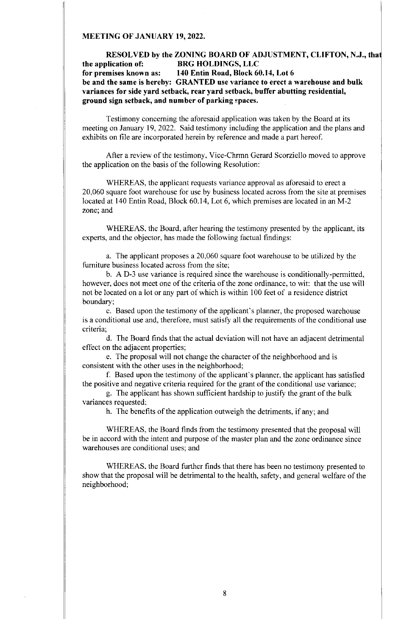### MEETING OF JANUARY 19, 2022.

## RESOLVED by the ZONING BOARD OF ADJUSTMENT, CLIFTON, N.J., tha the application of: BRG HOLDINGS, LLC<br>for premises known as: 140 Entin Road, Block 60 140 Entin Road, Block 60.14, Lot 6 be and the same is hereby: GRANTED use variance to erect a warehouse and bulk variances for side yard setback, rear yard setback, buffer abutting residential, ground sign setback, and number of parking spaces.

Testimony concerning the aforesaid application was taken by the Board at its meeting on January 19, 2022. Said testimony including the application and the plans and exhibits on file are incorporated herein by reference and made a part hereof.

After a review of the testimony, Vice-Chrmn Gerard Scorziello moved to approve the application on the basis of the following Resolution:

WHEREAS, the applicant requests variance approval as aforesaid to erect a 20,060 square foot warehouse for use by business located across from the site at premises located at 140 Entin Road, Block 60.14, Lot 6, which premises are located in an M-2 zone; and

WHEREAS, the Board, after hearing the testimony presented by the applicant, its experts, and the objector, has made the following factual findings:

a. The applicant proposes a 20,060 square foot warehouse to be utilized by the furniture business located across from the site;

b. A D-3 use variance is required since the warehouse is conditionally-permitted, however, does not meet one of the criteria of the zone ordinance, to wit: that the use will not be located on a lot or any part of which is within 100 feet of a residence district boundary;

c. Based upon the testimony of the applicant's planner, the proposed warehouse is a conditional use and, therefore, must satisfy all the requirements of the conditional use criteria;

d. The Board finds that the actual deviation will not have an adjacent detrimental effect on the adjacent properties;

e. The proposal will not change the character of the neighborhood and is consistent with the other uses in the neighborhood;

f. Based upon the testimony of the applicant's planner, the applicant has satisfied the positive and negative criteria required for the grant of the conditional use variance;

g. The applicant has shown sufficient hardship to justify the grant of the bulk variances requested;

h. The benefits of the application outweigh the detriments, if any; and

WHEREAS, the Board finds from the testimony presented that the proposal will be in accord with the intent and purpose of the master plan and the zone ordinance since warehouses are conditional uses; and

WHEREAS, the Board further finds that there has been no testimony presented to show that the proposal will be detrimental to the health, safety, and general welfare of the neighborhood;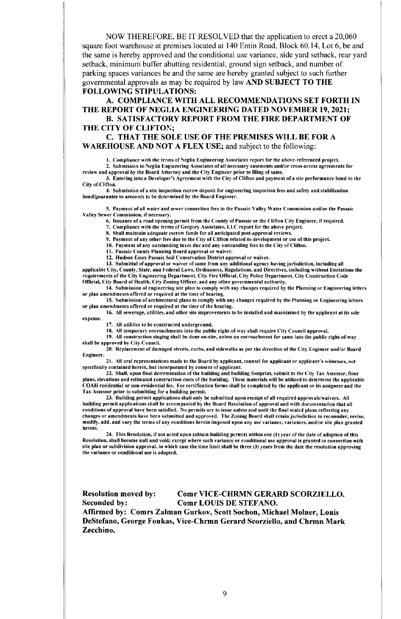NOW THEREFORE, BE IT RESOLVED that the application to erect a 20,060 square foot warehouse at premises located at 140 Entin Road, Block 60.14, Lot 6, be and the same is hereby approved and the conditional use variance, side yard setback, rear yard setback, minimum buffer abutting residential, ground sign setback, and number of parking spaces variances be and the same are hereby granted subject to such further governmental approvals as may be required by law AND SUBJECT TO THE FOLLOWING STIPULATIONS:

A. COMPLIANCE WITH ALL RECOMMENDATIONS SET FORTH IN THE REPORT OF NEGLIA ENGINEERING DATED NOVEMBER 19, 2021;

B. SATISFACTORY REPORT FROM THE FIRE DEPARTMENT OF THE CITY OF CLIFTON; C. THAT THE SOLE USE OF THE PREMISES WILL BE FOR A

WAREHOUSE AND NOT A FLEX USE; and subject to the following:

I. Compliance with the terms of Neglia Engineering Associates report for the above-referenced project.

2. Submission to Neglia Engineering Associates of all necessary easements and/or cross-access agreements for review and approval by the Board Attorney and the City Engineer prior to filing of same.

3. Entering into a Developer's Agreement with the City of Clifton and payment of a site performance bond to the City of Clifton.

4. Submission of a site inspection escrow deposit for engineering inspection fees and safety and stabilization bond/guarantee in amounts to be determined by the Board Engineer.

5. Payment of all water and sewer connection fees to the Passaic Valley Water Commission and/or the Passaic Valley Sewer Commission, if necessary.

6. Issuance of a road opening permit from the County of Passaic or the Clifton City Engineer, if required.

7. Compliance with the terms of Gregory Associates, LLC report for the above project.

8. Shall maintain adequate escrow funds for all anticipated post-approval reviews.

9. Payment of any other fees due to the City of Clifton related to development or use of this project.

10. Payment of any outstanding taxes due and any outstanding fees to the City of Clifton.

11. Passaic County Planning Board approval or waiver.

12. Hudson Essex Passaic Soil Conservation District approval or waiver.

13. Submittal of approval or waiver of same from any additional agency having jurisdiction, including all applicable City, County, State, and Federal Laws, Ordinances, Regulations, and Directives, including without limitations the requirements of the City Engineering Department, City Fire Official, City Police Department, City Construction Code Official, City Board of Health, City Zoning Officer, and any other governmental authority.

14. Submission of engineering site plan to comply with any changes required by the Planning or Engineering letters or plan amendments offered or required at the time of hearing.

15. Submission of architectural plans to comply with any changes required by the Planning or Engineering letters or plan amendments offered or required at the time of the hearing.

16. All sewerage, utilities, and other site improvements to be installed and maintained by the applicant at its sole expense.

17. All utilities to be constructed underground.

I8. All temporary encroachments into the public right-of-way shall require City Council approval.

19. All construction staging shall be done on-site, unless an encroachment for same into the public right-of-way shall be approved by City Council.

20. Replacement of damaged streets, curbs, and sidewalks as per the direction of the City Engineer and/or Board Engineer.

21. All oral representations made to the Board by applicant, counsel for applicant or applicant's witnesses, not specifically contained herein, but incorporated by consent of applicant.

22. Shall, upon final determination of the building and building footprint, submit to the City Tax Assessor, floor plans, elevations and estimated construction costs of the building. These materials will be utilized to determine the applicable COAH residential or non-residential fee. Fee certification forms shall be completed by the applicant or its assignees and the Tax Assessor prior to submitting for a building permit.

23. Building permit applications shall only be submitted upon receipt of all required approvals/waivers. All building permit applications shall be accompanied by the Board Resolution of approval and with documentation that all conditions of approval have been satisfied. No permits are to issue unless and until the final sealed plans reflecting any changes or amendments have been submitted and approved. The Zoning Board shall retain jurisdiction to reconsider, revise, modify, add, and vary the terms of any conditions herein imposed upon any use variance, variances, and/or site plan granted herein.

24. This Resolution, if not acted upon (obtain building permit) within one (I) year of the date of adoption of this Resolution, shall become null and void; except where such variance or conditional use approval is granted in connection with site plan or subdivision approval, in which case the time limit shall be three (3) years from the date the resolution approving the variance or conditional use is adopted.

Resolution moved by: Comr VICE-CHRMN GERARD SCORZIELLO. Seconded by: Comr LOUIS DE STEFANO. Affirmed by: Comrs Zalman Gurkov, Scott Sochon, Michael Molner, Louis DeStefano, George Foukas, Vice-Chrmn Gerard Scorziello, and Chrmn Mark Zecchino.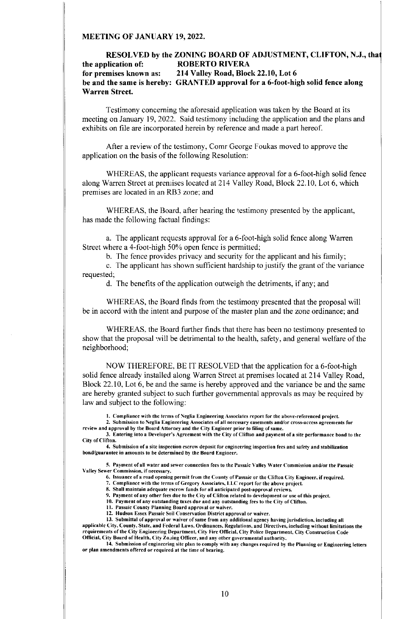### MEETING OF JANUARY 19, 2022.

## RESOLVED by the ZONING BOARD OF ADJUSTMENT, CLIFTON, N.J., tha the application of: ROBERTO RIVERA<br>for premises known as: 214 Valley Road, Bloc 214 Valley Road, Block 22.10, Lot 6 be and the same is hereby: GRANTED approval for a 6-foot-high solid fence along Warren Street.

Testimony concerning the aforesaid application was taken by the Board at its meeting on January 19, 2022. Said testimony including the application and the plans and exhibits on file are incorporated herein by reference and made a part hereof.

After a review of the testimony, Comr George Foukas moved to approve the application on the basis of the following Resolution:

WHEREAS, the applicant requests variance approval for a 6-foot-high solid fence along Warren Street at premises located at 214 Valley Road, Block 22.10, Lot 6, which premises are located in an RB3 zone; and

WHEREAS, the Board, after hearing the testimony presented by the applicant, has made the following factual findings:

a. The applicant requests approval for a 6-foot-high solid fence along Warren Street where a 4-foot-high 50% open fence is permitted;

b. The fence provides privacy and security for the applicant and his family;

c. The applicant has shown sufficient hardship to justify the grant of the variance requested;

d. The benefits of the application outweigh the detriments, if any; and

WHEREAS, the Board finds from the testimony presented that the proposal will be in accord with the intent and purpose of the master plan and the zone ordinance; and

WHEREAS, the Board further finds that there has been no testimony presented to show that the proposal will be detrimental to the health, safety, and general welfare of the neighborhood;

NOW THEREFORE, BE IT RESOLVED that the application for a 6-foot-high solid fence already installed along Warren Street at premises located at 214 Valley Road, Block 22.10, Lot 6, be and the same is hereby approved and the variance be and the same are hereby granted subject to such further governmental approvals as may be required by law and subject to the following:

1. Compliance with the terms of Neglia Engineering Associates report for the above-referenced project.

2. Submission to Neglia Engineering Associates of all necessary easements and/or cross-access agreements for review and approval by the Board Attorney and the City Engineer prior to filing of same.

3. Entering into a Developer's Agreement with the City of Clifton and payment of a site performance bond to the City of Clifton.

4. Submission of a site inspection escrow deposit for engineering inspection fees and safety and stabilization bond/guarantee in amounts to be determined by the Board Engineer.

5. Payment of all water and sewer connection fees to the Passaic Valley Water Commission and/or the Passaic Valley Sewer Commission, if necessary.

6. Issuance of a road opening permit from the County of Passaic or the Clifton City Engineer, if required.

7. Compliance with the terms of Gregory Associates, LLC report for the above project.

8. Shall maintain adequate escrow funds for all anticipated post-approval reviews.

9. Payment of any other fees due to the City of Clifton related to development or use of this project.

10. Payment of any outstanding taxes due and any outstanding fees to the City of Clifton. 11. Passaic County Planning Board approval or waiver.

12. Hudson Essex Passaic Soil Conservation District approval or waiver.

13. Submittal of approval or waiver of same from any additional agency having jurisdiction, including all applicable City, County, State, and Federal Laws. Ordinances, Regulations, and Directives, including without limitations the requirements of the City Engineering Department, City Fire Official, City Police Department, City Construction Code Official, City Board of Health, City Zo.jing Officer, and any other governmental authority.

14. Submission of engineering site plan to comply with any changes required by the Planning or Engineering letters or plan amendments offered or required at the time of hearing.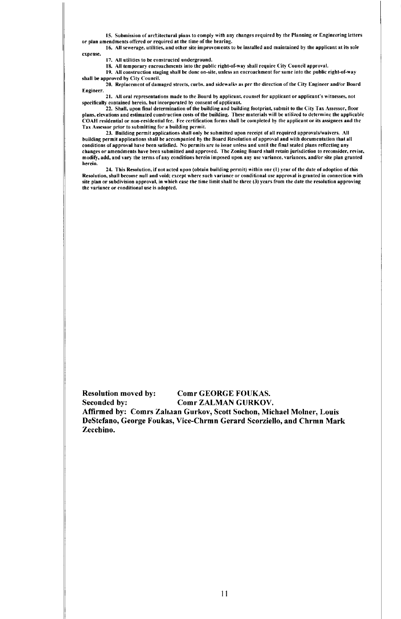IS. Submission of aretitectural plans to comply with any changes required by the Planning or Engineering letters or plan amendments offered or required at the time of the hearing.

16. All sewerage, utilities, and other site improvements to be installed and maintained by the applicant at its sole expense.

17. All utilities to be constructed underground.

IS. All temporary encroachments into the public right-of-way shall require City Council approval.

19. All construction staging shall be done on-site, unless an encroachment for same into the public right-of-way shall be approved by City Council.

20. Replacement of damaged streets, curbs, and sidewalks as per the direction of the City Engineer and/or Board Engineer.

21. All oral representations made to the Board by applicant, counsel for applicant or applicant's witnesses, not specifically contained herein, but incorporated by consent of applicant.

22. Shall, upon final determination of the building and building footprint, submit to the City Tax Assessor, floor plans, elevations and estimated construction costs of the building. These materials will be utilized to determine the applicable COAfl residential or non-residential fee. Fee certification forms shall be completed by the applicant or its assignees and the Tax Assessor prior to submitting for a building permit.

23. Building permit applications shall only be submitted upon receipt of all required approvals/waivers. All building permit applications shall be accompanied by the Board Resolution of approval and with documentation that all conditions of approval have been satisfied. No permits are to issue unless and until the final sealed plans reflecting any changes or amendments have been submitted and approved. The Zoning Board shall retain jurisdiction to reconsider, revise, modify, add, and vary the terms of any conditions herein imposed upon any use variance, variances, and/or site plan granted herein.

24. This Resolution, if not acted upon (obtain building permit) within one (1) year of the date of adoption of this Resolution, shall become null and void; except where such variance or conditional use approval is granted in connection with site plan or subdivision approval, in which case the time limit shall be three (3) years from the date the resolution approving the variance or conditional use is adopted.

Resolution moved by: Comr GEORGE FOUKAS. Seconded by: Comr ZALMAN GURKOV. Affirmed by: Comrs Zalraan Gurkov, Scott Sochon, Michael Molner, Louis DeStefano, George Foukas, Vice-Chrmn Gerard Scorziello, and Chrmn Mark Zecchino.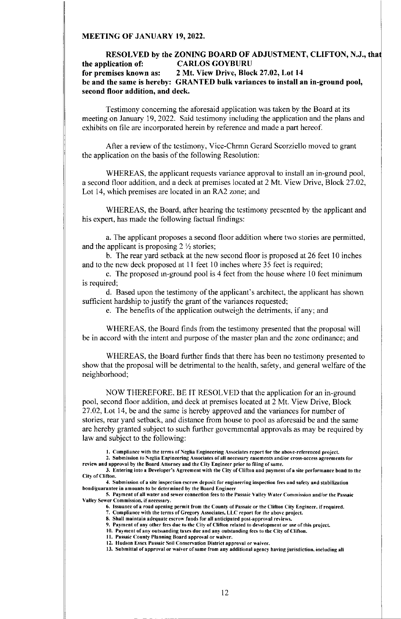### MEETING OF JANUARY 19, 2022.

# RESOLVED by the ZONING BOARD OF ADJUSTMENT, CLIFTON, N.J., that the application of: CARLOS GOYBURU for premises known as: 2 Mt. View Drive, Block 27.02, Lot 14 be and the same is hereby: GRANTED bulk variances to install an in-ground pool, second floor addition, and deck.

Testimony concerning the aforesaid application was taken by the Board at its meeting on January 19, 2022. Said testimony including the application and the plans and exhibits on file are incorporated herein by reference and made a part hereof.

After a review of the testimony, Vice-Chrmn Gerard Scorziello moved to grant the application on the basis of the following Resolution:

WHEREAS, the applicant requests variance approval to install an in-ground pool, a second floor addition, and a deck at premises located at 2 Mt. View Drive, Block 27.02, Lot 14, which premises are located in an RA2 zone; and

WHEREAS, the Board, after hearing the testimony presented by the applicant and his expert, has made the following factual findings:

a. The applicant proposes a second floor addition where two stories are permitted, and the applicant is proposing  $2 \frac{1}{2}$  stories;

b. The rear yard setback at the new second floor is proposed at 26 feet 10 inches and to the new deck proposed at 11 feet 10 inches where 35 feet is required;

c. The proposed in-ground pool is 4 feet from the house where 10 feet minimum is required;

d. Based upon the testimony of the applicant's architect, the applicant has shown sufficient hardship to justify the grant of the variances requested;

e. The benefits of the application outweigh the detriments, if any; and

WHEREAS, the Board finds from the testimony presented that the proposal will be in accord with the intent and purpose of the master plan and the zone ordinance; and

WHEREAS, the Board further finds that there has been no testimony presented to show that the proposal will be detrimental to the health, safety, and general welfare of the neighborhood;

NOW THEREFORE, BE IT RESOLVED that the application for an in-ground pool, second floor addition, and deck at premises located at 2 Mt. View Drive, Block 27.02, Lot 14, be and the same is hereby approved and the variances for number of stories, rear yard setback, and distance from house to pool as aforesaid be and the same are hereby granted subject to such further governmental approvals as may be required by law and subject to the following:

I. Compliance with the terms of Neglia Engineering Associates report for the above-referenced project.

2. Submission to Neglia Engineering Associates of all necessary easements and/or cross-access agreements for review and approval by the Board Attorney and the City Engineer prior to filing of same.

3. Entering into a Developer's Agreement with the City of Clifton and payment of a site performance bond to the City of Clifton.

4. Submission of a site inspection escrow deposit for engineering inspection fees and safety and stabilization bond/guarantee in amounts to be determined by the Board Engineer.

5. Payment of all water and sewer connection fees to the Passaic Valley Water Commission and/or the Passaic Valley Sewer Commission, if necessary.

- 6. Issuance of a road opening permit from the County of Passaic or the Clifton City Engineer, if required.
- 7. Compliance with the terms of Gregory Associates, LLC report for the above project. S. Shall maintain adequate escrow funds for all anticipated post-approval reviews.
- 9. Payment of any other fees due to the City of Clifton related to development or use of this project.
- 10. Payment of any outstanding taxes due and any outstanding fees to the City of Clifton.
- II. Passaic County Planning Board approval or waiver.
- 12. Hudson Essex Passaic Soil Conservation District approval or waiver.

13. Submittal of approval or waiver of same from any additional agency having jurisdiction, including all